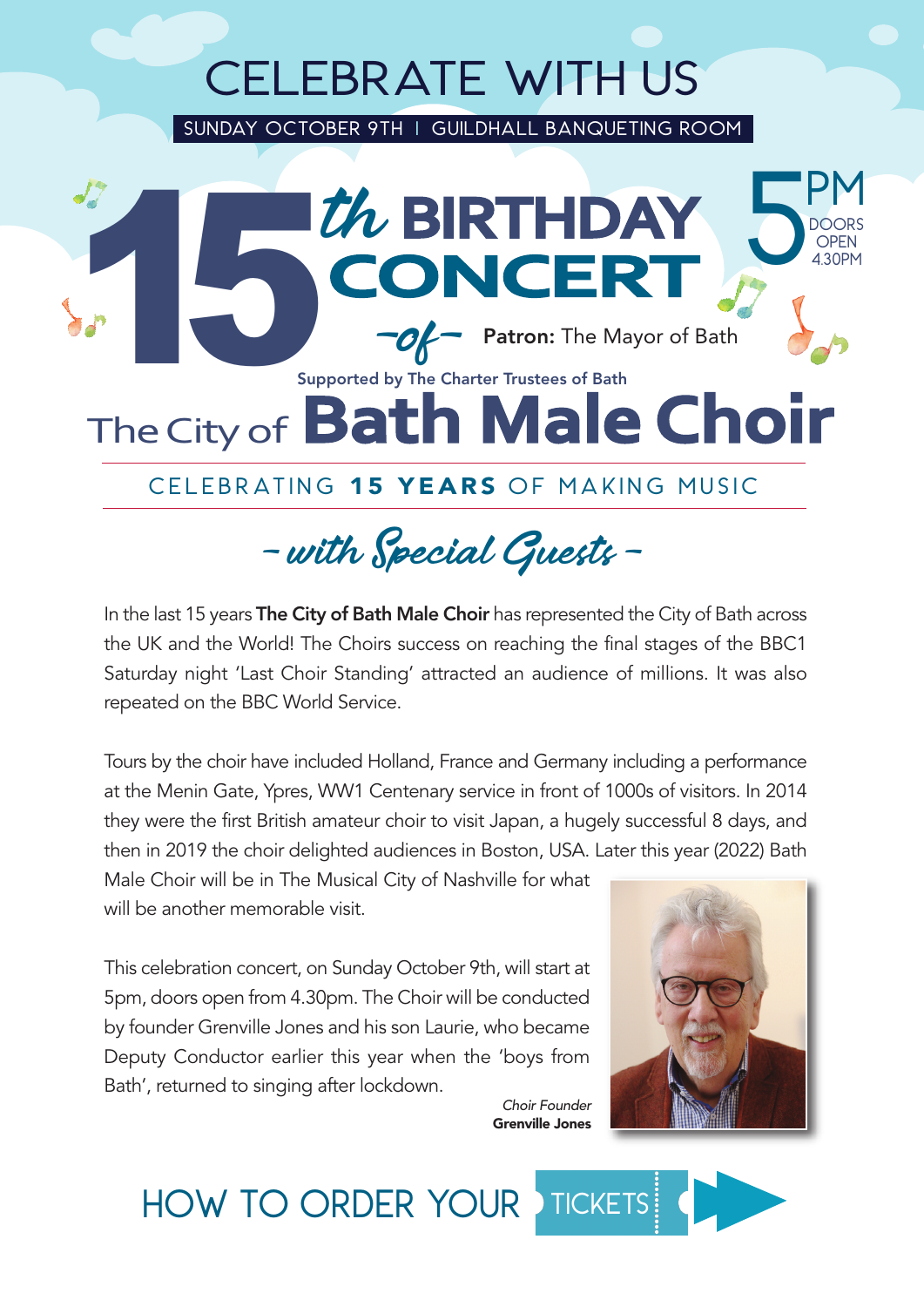## CELEBRATE WITH US

sundaY OCTOBER 9th I Guildhall banqueting room



### CELEBRATING 15 YEARS OF MAKING MUSIC

- with Special Guests -

In the last 15 years The City of Bath Male Choir has represented the City of Bath across the UK and the World! The Choirs success on reaching the final stages of the BBC1 Saturday night 'Last Choir Standing' attracted an audience of millions. It was also repeated on the BBC World Service.

Tours by the choir have included Holland, France and Germany including a performance at the Menin Gate, Ypres, WW1 Centenary service in front of 1000s of visitors. In 2014 they were the first British amateur choir to visit Japan, a hugely successful 8 days, and then in 2019 the choir delighted audiences in Boston, USA. Later this year (2022) Bath

Male Choir will be in The Musical City of Nashville for what will be another memorable visit.

This celebration concert, on Sunday October 9th, will start at 5pm, doors open from 4.30pm. The Choir will be conducted by founder Grenville Jones and his son Laurie, who became Deputy Conductor earlier this year when the 'boys from Bath', returned to singing after lockdown.



*Choir Founder* Grenville Jones

**TICKETS** HOW TO ORDER YOUR >